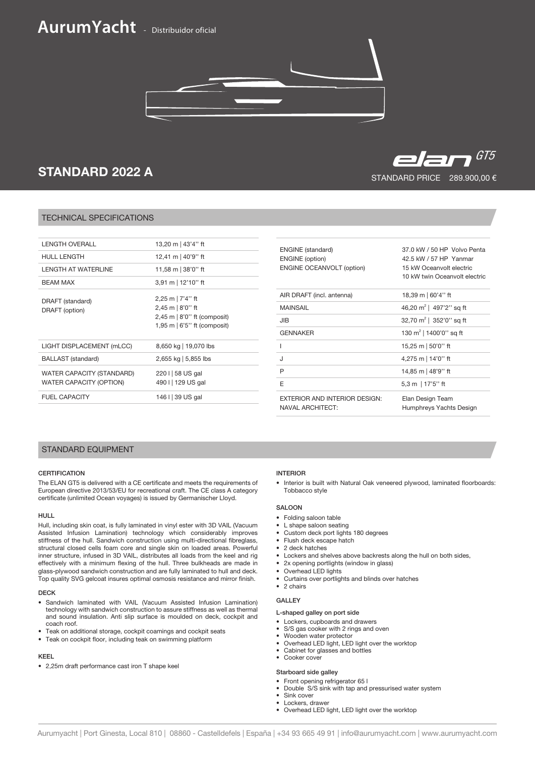# **AurumYacht** - Distribuidor oficial



## STANDARD 2022 A

#### TECHNICAL SPECIFICATIONS

| 13,20 m   43'4" ft                                                                                                     |
|------------------------------------------------------------------------------------------------------------------------|
| 12,41 m   40'9" ft                                                                                                     |
| 11,58 m   38'0" ft                                                                                                     |
| 3,91 m   12'10" ft                                                                                                     |
| 2,25 m   $7'4''$ ft<br>$2,45$ m $ 8'0''$ ft<br>$2,45$ m $\mid 8'0''$ ft (composit)<br>1,95 m $\mid$ 6'5" ft (composit) |
| 8,650 kg   19,070 lbs                                                                                                  |
| 2,655 kg   5,855 lbs                                                                                                   |
| 220 I 58 US gal<br>490 I   129 US gal                                                                                  |
| 146 I 39 US gal                                                                                                        |
|                                                                                                                        |

| <b>ENGINE</b> (standard)<br><b>ENGINE</b> (option)<br><b>ENGINE OCEANVOLT (option)</b> | 37.0 kW / 50 HP Volvo Penta<br>42.5 kW / 57 HP Yanmar<br>15 kW Oceanvolt electric<br>10 kW twin Oceanvolt electric |
|----------------------------------------------------------------------------------------|--------------------------------------------------------------------------------------------------------------------|
| AIR DRAFT (incl. antenna)                                                              | 18,39 m   60'4'' ft                                                                                                |
| <b>MAINSAIL</b>                                                                        | 46,20 m <sup>2</sup>   497'2" sq ft                                                                                |
| JIB                                                                                    | 32,70 $m^2$   352'0" sq ft                                                                                         |
| <b>GENNAKER</b>                                                                        | 130 m <sup>2</sup>   1400'0" sq ft                                                                                 |
| ı                                                                                      | 15,25 m   50'0" ft                                                                                                 |
| J                                                                                      | 4,275 m   14'0" ft                                                                                                 |
| P                                                                                      | 14,85 m   48'9" ft                                                                                                 |
| E                                                                                      | 5,3 m   17'5'' ft                                                                                                  |
| EXTERIOR AND INTERIOR DESIGN:<br><b>NAVAL ARCHITECT:</b>                               | Elan Design Team<br>Humphreys Yachts Design                                                                        |

#### STANDARD EQUIPMENT

#### **CERTIFICATION**

The ELAN GT5 is delivered with a CE certificate and meets the requirements of European directive 2013/53/EU for recreational craft. The CE class A category certificate (unlimited Ocean voyages) is issued by Germanischer Lloyd.

#### HULL

Hull, including skin coat, is fully laminated in vinyl ester with 3D VAIL (Vacuum Assisted Infusion Lamination) technology which considerably improves stiffness of the hull. Sandwich construction using multi-directional fibreglass, structural closed cells foam core and single skin on loaded areas. Powerful inner structure, infused in 3D VAIL, distributes all loads from the keel and rig effectively with a minimum flexing of the hull. Three bulkheads are made in glass-plywood sandwich construction and are fully laminated to hull and deck. Top quality SVG gelcoat insures optimal osmosis resistance and mirror finish.

#### DECK

- Sandwich laminated with VAIL (Vacuum Assisted Infusion Lamination) technology with sandwich construction to assure stiffness as well as thermal and sound insulation. Anti slip surface is moulded on deck, cockpit and coach roof.
- Teak on additional storage, cockpit coamings and cockpit seats
- Teak on cockpit floor, including teak on swimming platform

#### KEEL

• 2,25m draft performance cast iron T shape keel

#### INTERIOR

• Interior is built with Natural Oak veneered plywood, laminated floorboards: Tobbacco style

#### SALOON

- Folding saloon table
- L shape saloon seating
- Custom deck port lights 180 degrees
- Flush deck escape hatch
- 2 deck hatches
- Lockers and shelves above backrests along the hull on both sides,
- 2x opening portlights (window in glass)
- Overhead LED lights
- Curtains over portlights and blinds over hatches
- 2 chairs

#### GALLEY

#### L-shaped galley on port side

- Lockers, cupboards and drawers
- S/S gas cooker with 2 rings and oven
- Wooden water protector
- Overhead LED light, LED light over the worktop • Cabinet for glasses and bottles
- Cooker cover

### Starboard side galley

### • Front opening refrigerator 65 l

- Double S/S sink with tap and pressurised water system
- Sink cover
- Lockers, drawer
- Overhead LED light, LED light over the worktop